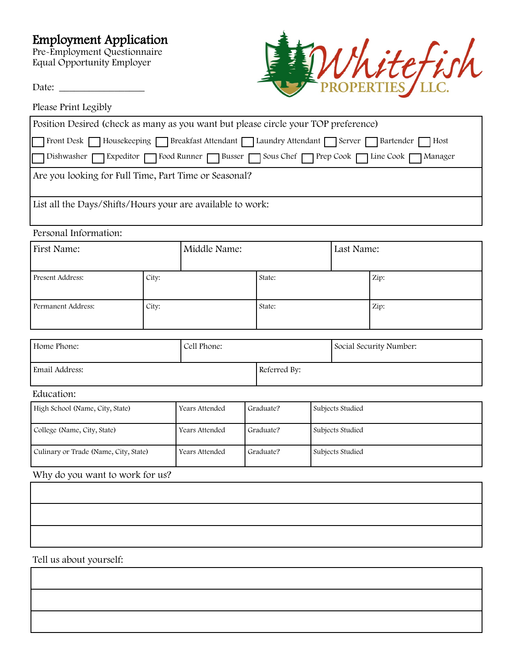# Employment Application

Pre-Employment Questionnaire Equal Opportunity Employer

Date: \_\_\_\_\_\_\_\_\_\_\_\_\_\_\_\_\_





| Position Desired (check as many as you want but please circle your TOP preference)             |  |  |  |  |
|------------------------------------------------------------------------------------------------|--|--|--|--|
| Front Desk Housekeeping Breakfast Attendant Laundry Attendant Server Bartender Host            |  |  |  |  |
| Dishwasher GExpeditor GEO Food Runner GEO Busser GEO Sous Chef GEORGEO FLine Cook<br>1 Manager |  |  |  |  |
| Are you looking for Full Time, Part Time or Seasonal?                                          |  |  |  |  |
|                                                                                                |  |  |  |  |
| List all the Days/Shifts/Hours your are available to work:                                     |  |  |  |  |

#### Personal Information:

| First Name:        |       | Middle Name: |        | Last Name: |      |  |
|--------------------|-------|--------------|--------|------------|------|--|
| Present Address:   | City: |              | State: |            | Zip: |  |
| Permanent Address: | City: |              | State: |            | Zip: |  |

| Home Phone:    | Cell Phone: |              | Social Security Number: |  |
|----------------|-------------|--------------|-------------------------|--|
| Email Address: |             | Referred By: |                         |  |

## Education:

| High School (Name, City, State)       | Years Attended | Graduate? | Subjects Studied |
|---------------------------------------|----------------|-----------|------------------|
| College (Name, City, State)           | Years Attended | Graduate? | Subjects Studied |
| Culinary or Trade (Name, City, State) | Years Attended | Graduate? | Subjects Studied |

### Why do you want to work for us?

Tell us about yourself: